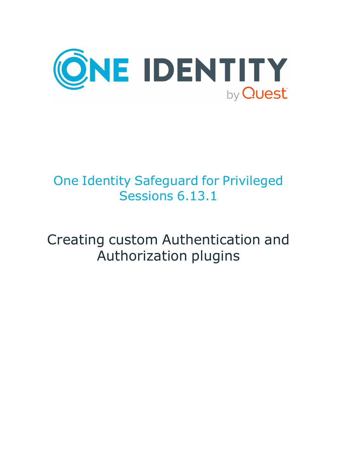

# One Identity Safeguard for Privileged Sessions 6.13.1

# Creating custom Authentication and Authorization plugins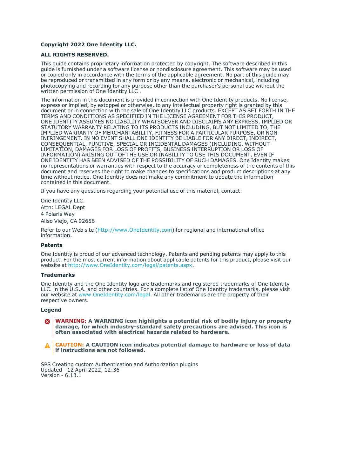#### **Copyright 2022 One Identity LLC.**

#### **ALL RIGHTS RESERVED.**

This guide contains proprietary information protected by copyright. The software described in this guide is furnished under a software license or nondisclosure agreement. This software may be used or copied only in accordance with the terms of the applicable agreement. No part of this guide may be reproduced or transmitted in any form or by any means, electronic or mechanical, including photocopying and recording for any purpose other than the purchaser's personal use without the written permission of One Identity LLC .

The information in this document is provided in connection with One Identity products. No license, express or implied, by estoppel or otherwise, to any intellectual property right is granted by this document or in connection with the sale of One Identity LLC products. EXCEPT AS SET FORTH IN THE TERMS AND CONDITIONS AS SPECIFIED IN THE LICENSE AGREEMENT FOR THIS PRODUCT, ONE IDENTITY ASSUMES NO LIABILITY WHATSOEVER AND DISCLAIMS ANY EXPRESS, IMPLIED OR STATUTORY WARRANTY RELATING TO ITS PRODUCTS INCLUDING, BUT NOT LIMITED TO, THE IMPLIED WARRANTY OF MERCHANTABILITY, FITNESS FOR A PARTICULAR PURPOSE, OR NON-INFRINGEMENT. IN NO EVENT SHALL ONE IDENTITY BE LIABLE FOR ANY DIRECT, INDIRECT, CONSEQUENTIAL, PUNITIVE, SPECIAL OR INCIDENTAL DAMAGES (INCLUDING, WITHOUT LIMITATION, DAMAGES FOR LOSS OF PROFITS, BUSINESS INTERRUPTION OR LOSS OF INFORMATION) ARISING OUT OF THE USE OR INABILITY TO USE THIS DOCUMENT, EVEN IF ONE IDENTITY HAS BEEN ADVISED OF THE POSSIBILITY OF SUCH DAMAGES. One Identity makes no representations or warranties with respect to the accuracy or completeness of the contents of this document and reserves the right to make changes to specifications and product descriptions at any time without notice. One Identity does not make any commitment to update the information contained in this document.

If you have any questions regarding your potential use of this material, contact:

One Identity LLC. Attn: LEGAL Dept 4 Polaris Way Aliso Viejo, CA 92656

Refer to our Web site [\(http://www.OneIdentity.com](http://www.oneidentity.com/)) for regional and international office information.

#### **Patents**

One Identity is proud of our advanced technology. Patents and pending patents may apply to this product. For the most current information about applicable patents for this product, please visit our website at [http://www.OneIdentity.com/legal/patents.aspx.](http://www.oneidentity.com/legal/patents.aspx)

#### **Trademarks**

One Identity and the One Identity logo are trademarks and registered trademarks of One Identity LLC. in the U.S.A. and other countries. For a complete list of One Identity trademarks, please visit our website at [www.OneIdentity.com/legal](http://www.oneidentity.com/legal). All other trademarks are the property of their respective owners.

#### **Legend**

**WARNING: A WARNING icon highlights a potential risk of bodily injury or property** œ **damage, for which industry-standard safety precautions are advised. This icon is often associated with electrical hazards related to hardware.**

**CAUTION: A CAUTION icon indicates potential damage to hardware or loss of data if instructions are not followed.**

SPS Creating custom Authentication and Authorization plugins Updated - 12 April 2022, 12:36 Version - 6.13.1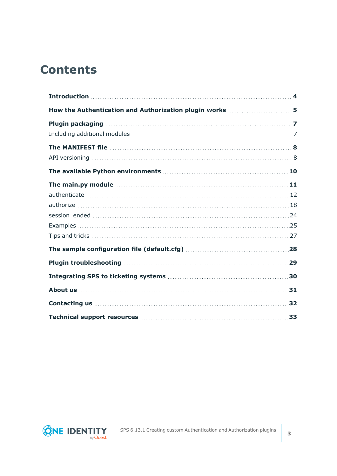## **Contents**

| The main.py module measures and the main part of the main part of the main part of the main state of the main state of the main state of the main state of the main state of the main state of the main state of the main stat       |     |
|--------------------------------------------------------------------------------------------------------------------------------------------------------------------------------------------------------------------------------------|-----|
|                                                                                                                                                                                                                                      |     |
|                                                                                                                                                                                                                                      |     |
|                                                                                                                                                                                                                                      |     |
|                                                                                                                                                                                                                                      |     |
|                                                                                                                                                                                                                                      |     |
|                                                                                                                                                                                                                                      |     |
|                                                                                                                                                                                                                                      |     |
|                                                                                                                                                                                                                                      | .30 |
|                                                                                                                                                                                                                                      |     |
| <b>Contacting us 22 All and 23 All and 23 All and 24 All and 24 All and 24 All and 24 All and 24 All and 24 All and 24 All and 24 All and 24 All and 24 All and 25 All and 26 All and 26 All and 26 All and 26 All and 26 All an</b> |     |
| Technical support resources <b>manufactures</b> 33                                                                                                                                                                                   |     |

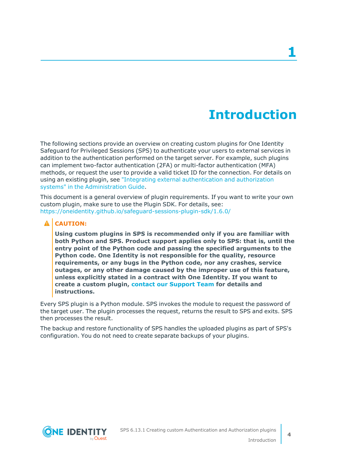## **Introduction**

<span id="page-3-0"></span>The following sections provide an overview on creating custom plugins for One Identity Safeguard for Privileged Sessions (SPS) to authenticate your users to external services in addition to the authentication performed on the target server. For example, such plugins can implement two-factor authentication (2FA) or multi-factor authentication (MFA) methods, or request the user to provide a valid ticket ID for the connection. For details on using an existing plugin, see "Integrating external [authentication](https://support.oneidentity.com/technical-documents/safeguard-for-privileged-sessions/6.13.1/administration-guide/advanced-authentication-and-authorization-techniques/integrating-external-authentication-and-authorization-systems/) and authorization systems" in the [Administration](https://support.oneidentity.com/technical-documents/safeguard-for-privileged-sessions/6.13.1/administration-guide/advanced-authentication-and-authorization-techniques/integrating-external-authentication-and-authorization-systems/) Guide.

This document is a general overview of plugin requirements. If you want to write your own custom plugin, make sure to use the Plugin SDK. For details, see: <https://oneidentity.github.io/safeguard-sessions-plugin-sdk/1.6.0/>

#### **A** CAUTION:

**Using custom plugins in SPS is recommended only if you are familiar with both Python and SPS. Product support applies only to SPS: that is, until the entry point of the Python code and passing the specified arguments to the Python code. One Identity is not responsible for the quality, resource requirements, or any bugs in the Python code, nor any crashes, service outages, or any other damage caused by the improper use of this feature, unless explicitly stated in a contract with One Identity. If you want to create a custom plugin, contact our [Support](https://support.oneidentity.com/one-identity-safeguard-for-privileged-sessions) Team for details and instructions.**

Every SPS plugin is a Python module. SPS invokes the module to request the password of the target user. The plugin processes the request, returns the result to SPS and exits. SPS then processes the result.

The backup and restore functionality of SPS handles the uploaded plugins as part of SPS's configuration. You do not need to create separate backups of your plugins.

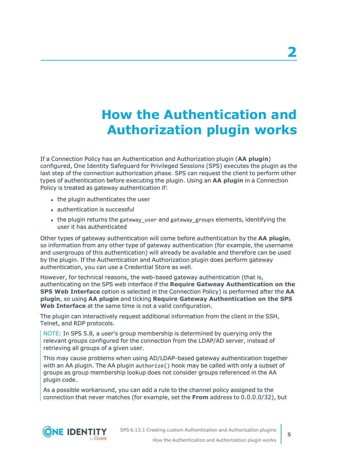## <span id="page-4-0"></span>**How the Authentication and Authorization plugin works**

If a Connection Policy has an Authentication and Authorization plugin (**AA plugin**) configured, One Identity Safeguard for Privileged Sessions (SPS) executes the plugin as the last step of the connection authorization phase. SPS can request the client to perform other types of authentication before executing the plugin. Using an **AA plugin** in a Connection Policy is treated as gateway authentication if:

- the plugin authenticates the user
- authentication is successful
- the plugin returns the gateway user and gateway groups elements, identifying the user it has authenticated

Other types of gateway authentication will come before authentication by the **AA plugin**, so information from any other type of gateway authentication (for example, the username and usergroups of this authentication) will already be available and therefore can be used by the plugin. If the Authentication and Authorization plugin does perform gateway authentication, you can use a Credential Store as well.

However, for technical reasons, the web-based gateway authentication (that is, authenticating on the SPS web interface if the **Require Gatweay Authentication on the SPS Web Interface** option is selected in the Connection Policy) is performed after the **AA plugin**, so using **AA plugin** and ticking **Require Gateway Authentication on the SPS Web Interface** at the same time is not a valid configuration.

The plugin can interactively request additional information from the client in the SSH, Telnet, and RDP protocols.

NOTE: In SPS 5.8, a user's group membership is determined by querying only the relevant groups configured for the connection from the LDAP/AD server, instead of retrieving all groups of a given user.

This may cause problems when using AD/LDAP-based gateway authentication together with an AA plugin. The AA plugin authorize() hook may be called with only a subset of groups as group membership lookup does not consider groups referenced in the AA plugin code.

As a possible workaround, you can add a rule to the channel policy assigned to the connection that never matches (for example, set the **From** address to 0.0.0.0/32), but



SPS 6.13.1 Creating custom Authentication and Authorization plugins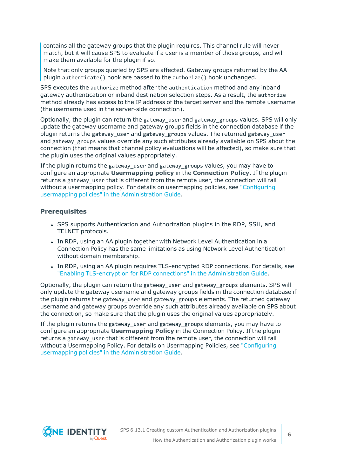contains all the gateway groups that the plugin requires. This channel rule will never match, but it will cause SPS to evaluate if a user is a member of those groups, and will make them available for the plugin if so.

Note that only groups queried by SPS are affected. Gateway groups returned by the AA plugin authenticate() hook are passed to the authorize() hook unchanged.

SPS executes the authorize method after the authentication method and any inband gateway authentication or inband destination selection steps. As a result, the authorize method already has access to the IP address of the target server and the remote username (the username used in the server-side connection).

Optionally, the plugin can return the gateway\_user and gateway\_groups values. SPS will only update the gateway username and gateway groups fields in the connection database if the plugin returns the gateway user and gateway groups values. The returned gateway user and gateway groups values override any such attributes already available on SPS about the connection (that means that channel policy evaluations will be affected), so make sure that the plugin uses the original values appropriately.

If the plugin returns the gateway user and gateway groups values, you may have to configure an appropriate **Usermapping policy** in the **Connection Policy**. If the plugin returns a gateway user that is different from the remote user, the connection will fail without a usermapping policy. For details on usermapping policies, see ["Configuring](https://support.oneidentity.com/technical-documents/safeguard-for-privileged-sessions/6.13.1/administration-guide/advanced-authentication-and-authorization-techniques/configuring-usermapping-policies/)" usermapping policies" in the [Administration](https://support.oneidentity.com/technical-documents/safeguard-for-privileged-sessions/6.13.1/administration-guide/advanced-authentication-and-authorization-techniques/configuring-usermapping-policies/) Guide.

#### **Prerequisites**

- SPS supports Authentication and Authorization plugins in the RDP, SSH, and TELNET protocols.
- In RDP, using an AA plugin together with Network Level Authentication in a Connection Policy has the same limitations as using Network Level Authentication without domain membership.
- In RDP, using an AA plugin requires TLS-encrypted RDP connections. For details, see "Enabling [TLS-encryption](https://support.oneidentity.com/technical-documents/safeguard-for-privileged-sessions/6.13.1/administration-guide/rdp-specific-settings/enabling-tls-encryption-for-rdp-connections/) for RDP connections" in the Administration Guide.

Optionally, the plugin can return the gateway user and gateway groups elements. SPS will only update the gateway username and gateway groups fields in the connection database if the plugin returns the gateway\_user and gateway\_groups elements. The returned gateway username and gateway groups override any such attributes already available on SPS about the connection, so make sure that the plugin uses the original values appropriately.

If the plugin returns the gateway\_user and gateway\_groups elements, you may have to configure an appropriate **Usermapping Policy** in the Connection Policy. If the plugin returns a gateway user that is different from the remote user, the connection will fail without a Usermapping Policy. For details on Usermapping Policies, see ["Configuring](https://support.oneidentity.com/technical-documents/safeguard-for-privileged-sessions/6.13.1/administration-guide/advanced-authentication-and-authorization-techniques/configuring-usermapping-policies/) usermapping policies" in the [Administration](https://support.oneidentity.com/technical-documents/safeguard-for-privileged-sessions/6.13.1/administration-guide/advanced-authentication-and-authorization-techniques/configuring-usermapping-policies/) Guide.

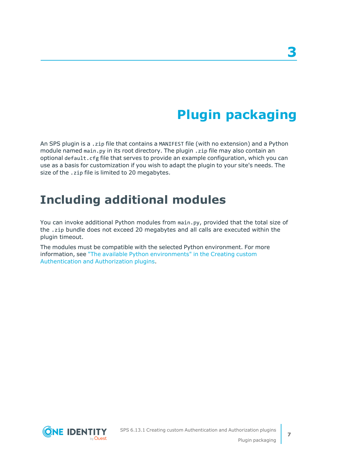# **Plugin packaging**

<span id="page-6-0"></span>An SPS plugin is a .zip file that contains a MANIFEST file (with no extension) and a Python module named main.py in its root directory. The plugin .zip file may also contain an optional default.cfg file that serves to provide an example configuration, which you can use as a basis for customization if you wish to adapt the plugin to your site's needs. The size of the .zip file is limited to 20 megabytes.

### <span id="page-6-1"></span>**Including additional modules**

You can invoke additional Python modules from main.py, provided that the total size of the .zip bundle does not exceed 20 megabytes and all calls are executed within the plugin timeout.

The modules must be compatible with the selected Python environment. For more information, see "The available Python [environments"](https://support.oneidentity.com/technical-documents/safeguard-for-privileged-sessions/6.13.1/creating-custom-authentication-and-authorization-plugins/) in the Creating custom [Authentication](https://support.oneidentity.com/technical-documents/safeguard-for-privileged-sessions/6.13.1/creating-custom-authentication-and-authorization-plugins/) and Authorization plugins.

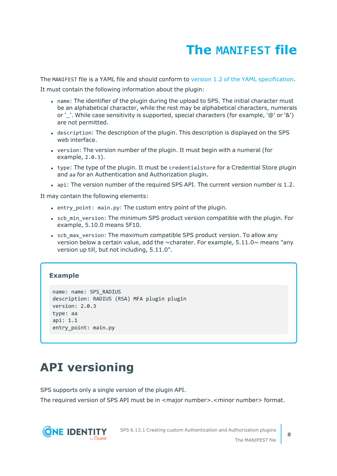## **The MANIFEST file**

<span id="page-7-0"></span>The MANIFEST file is a YAML file and should conform to version 1.2 of the YAML [specification.](http://yaml.org/spec/)

It must contain the following information about the plugin:

- name: The identifier of the plugin during the upload to SPS. The initial character must be an alphabetical character, while the rest may be alphabetical characters, numerals or '. While case sensitivity is supported, special characters (for example, '@' or '&') are not permitted.
- description: The description of the plugin. This description is displayed on the SPS web interface.
- version: The version number of the plugin. It must begin with a numeral (for example, 2.0.3).
- type: The type of the plugin. It must be credentialstore for a Credential Store plugin and aa for an Authentication and Authorization plugin.
- api: The version number of the required SPS API. The current version number is 1.2.

It may contain the following elements:

- entry point: main.py: The custom entry point of the plugin.
- scb min version: The minimum SPS product version compatible with the plugin. For example, 5.10.0 means 5F10.
- scb max version: The maximum compatible SPS product version. To allow any version below a certain value, add the  $\sim$ charater. For example, 5.11.0 $\sim$  means "any version up till, but not including, 5.11.0".

### **Example**

```
name: name: SPS_RADIUS
description: RADIUS (RSA) MFA plugin plugin
version: 2.0.3
type: aa
api: 1.1
entry_point: main.py
```
### <span id="page-7-1"></span>**API versioning**

SPS supports only a single version of the plugin API.

The required version of SPS API must be in <major number>.<minor number> format.

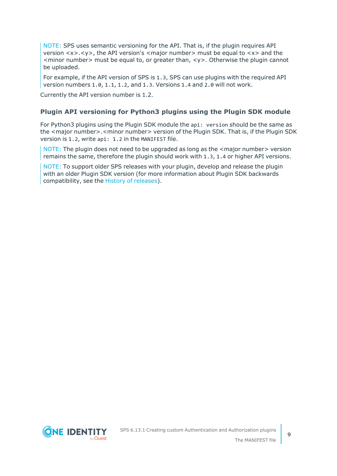NOTE: SPS uses semantic versioning for the API. That is, if the plugin requires API version <x>.<y>, the API version's <major number> must be equal to <x> and the  $\leq$  minor number  $\geq$  must be equal to, or greater than,  $\lt$ y  $\geq$ . Otherwise the plugin cannot be uploaded.

For example, if the API version of SPS is 1.3, SPS can use plugins with the required API version numbers 1.0, 1.1, 1.2, and 1.3. Versions 1.4 and 2.0 will not work.

Currently the API version number is 1.2.

### **Plugin API versioning for Python3 plugins using the Plugin SDK module**

For Python3 plugins using the Plugin SDK module the api: version should be the same as the <major number>.<minor number> version of the Plugin SDK. That is, if the Plugin SDK version is 1.2, write api: 1.2 in the MANIFEST file.

NOTE: The plugin does not need to be upgraded as long as the <major number> version remains the same, therefore the plugin should work with 1.3, 1.4 or higher API versions.

NOTE: To support older SPS releases with your plugin, develop and release the plugin with an older Plugin SDK version (for more information about Plugin SDK backwards compatibility, see the History of [releases](https://oneidentity.github.io/safeguard-sessions-plugin-sdk/latest/history.html)).

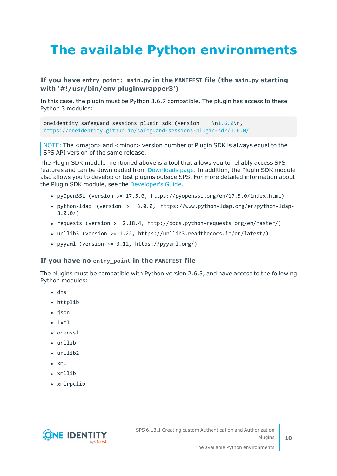# <span id="page-9-0"></span>**The available Python environments**

### **If you have entry\_point: main.py in the MANIFEST file (the main.py starting with '#!/usr/bin/env pluginwrapper3')**

In this case, the plugin must be Python 3.6.7 compatible. The plugin has access to these Python 3 modules:

oneidentity safeguard sessions plugin sdk (version == \[n1.6.0\](https://oneidentity.github.io/safeguard-sessions-plugin-sdk/1.6.0/index.html)n, <https://oneidentity.github.io/safeguard-sessions-plugin-sdk/1.6.0/>

NOTE: The <major> and <minor> version number of Plugin SDK is always equal to the SPS API version of the same release.

The Plugin SDK module mentioned above is a tool that allows you to reliably access SPS features and can be downloaded from [Downloads](https://support.oneidentity.com/my-downloads) page. In addition, the Plugin SDK module also allows you to develop or test plugins outside SPS. For more detailed information about the Plugin SDK module, see the [Developer's](https://oneidentity.github.io/safeguard-sessions-plugin-sdk/1.2.0/index.html) Guide.

- <sup>l</sup> pyOpenSSL (version >= 17.5.0, https://pyopenssl.org/en/17.5.0/index.html)
- python-ldap (version >=  $3.0.0$ , https://www.python-ldap.org/en/python-ldap-3.0.0/)
- requests (version  $>= 2.18.4$ , http://docs.python-requests.org/en/master/)
- <sup>l</sup> urllib3 (version >= 1.22, https://urllib3.readthedocs.io/en/latest/)
- pyyaml (version >=  $3.12$ , https://pyyaml.org/)

#### **If you have no entry\_point in the MANIFEST file**

The plugins must be compatible with Python version 2.6.5, and have access to the following Python modules:

- $\cdot$  dns
- httplib
- json
- $\cdot$  lxml
- openssl
- urllib
- $\cdot$  urllib2
- $\cdot$  xml
- xmllib
- xmlrpclib

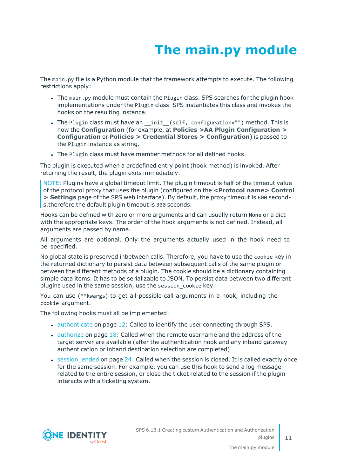# **The main.py module**

<span id="page-10-0"></span>The main.py file is a Python module that the framework attempts to execute. The following restrictions apply:

- The main.py module must contain the Plugin class. SPS searches for the plugin hook implementations under the Plugin class. SPS instantiates this class and invokes the hooks on the resulting instance.
- The Plugin class must have an \_init\_(self, configuration="") method. This is how the **Configuration** (for example, at **Policies >AA Plugin Configuration > Configuration** or **Policies > Credential Stores > Configuration**) is passed to the Plugin instance as string.
- The Plugin class must have member methods for all defined hooks.

The plugin is executed when a predefined entry point (hook method) is invoked. After returning the result, the plugin exits immediately.

NOTE: Plugins have a global timeout limit. The plugin timeout is half of the timeout value of the protocol proxy that uses the plugin (configured on the **<Protocol name> Control > Settings** page of the SPS web interface). By default, the proxy timeout is 600 seconds,therefore the default plugin timeout is 300 seconds.

Hooks can be defined with zero or more arguments and can usually return None or a dict with the appropriate keys. The order of the hook arguments is not defined. Instead, all arguments are passed by name.

All arguments are optional. Only the arguments actually used in the hook need to be specified.

No global state is preserved inbetween calls. Therefore, you have to use the cookie key in the returned dictionary to persist data between subsequent calls of the same plugin or between the different methods of a plugin. The cookie should be a dictionary containing simple data items. It has to be serializable to JSON. To persist data between two different plugins used in the same session, use the session\_cookie key.

You can use (\*\*kwargs) to get all possible call arguments in a hook, including the cookie argument.

The following hooks must all be implemented:

- $\bullet$  [authenticate](#page-11-0) on page 12: Called to identify the user connecting through SPS.
- $\bullet$  [authorize](#page-17-0) on page 18: Called when the remote username and the address of the target server are available (after the authentication hook and any inband gateway authentication or inband destination selection are completed).
- $\bullet$  session ended on page 24: Called when the session is closed. It is called exactly once for the same session. For example, you can use this hook to send a log message related to the entire session, or close the ticket related to the session if the plugin interacts with a ticketing system.

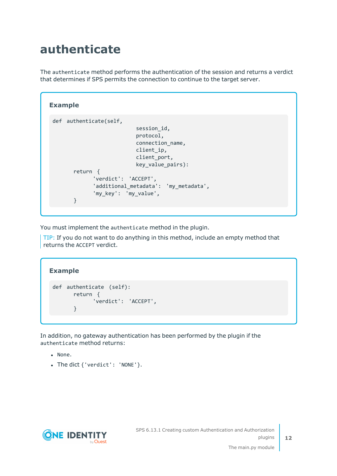### <span id="page-11-0"></span>**authenticate**

The authenticate method performs the authentication of the session and returns a verdict that determines if SPS permits the connection to continue to the target server.

```
Example
 def authenticate(self,
                            session_id,
                            protocol,
                            connection_name,
                            client ip,
                            client port,
                            key value pairs):
       return {
              'verdict': 'ACCEPT',
              'additional_metadata': 'my_metadata',
              'my_key': 'my_value',
       }
```
You must implement the authenticate method in the plugin.

TIP: If you do not want to do anything in this method, include an empty method that returns the ACCEPT verdict.

```
Example
 def authenticate (self):
       return {
             'verdict': 'ACCEPT',
       }
```
In addition, no gateway authentication has been performed by the plugin if the authenticate method returns:

- None.
- The dict { 'verdict': 'NONE'}.

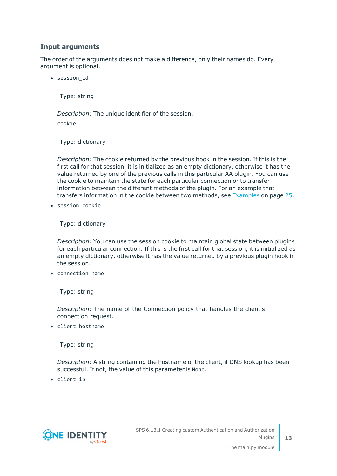### **Input arguments**

The order of the arguments does not make a difference, only their names do. Every argument is optional.

• session id

Type: string

*Description:* The unique identifier of the session.

cookie

Type: dictionary

*Description:* The cookie returned by the previous hook in the session. If this is the first call for that session, it is initialized as an empty dictionary, otherwise it has the value returned by one of the previous calls in this particular AA plugin. You can use the cookie to maintain the state for each particular connection or to transfer information between the different methods of the plugin. For an example that transfers information in the cookie between two methods, see [Examples](#page-24-0) on page 25.

• session cookie

Type: dictionary

*Description:* You can use the session cookie to maintain global state between plugins for each particular connection. If this is the first call for that session, it is initialized as an empty dictionary, otherwise it has the value returned by a previous plugin hook in the session.

• connection\_name

Type: string

*Description:* The name of the Connection policy that handles the client's connection request.

• client\_hostname

Type: string

*Description:* A string containing the hostname of the client, if DNS lookup has been successful. If not, the value of this parameter is None.

• client\_ip

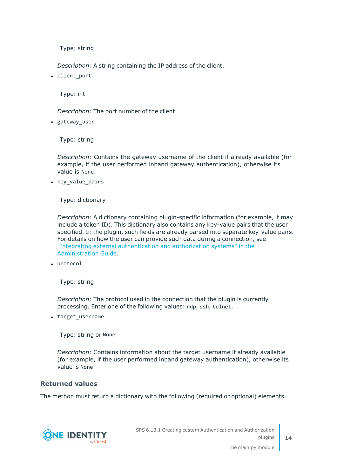*Description:* A string containing the IP address of the client.

• client port

Type: int

*Description:* The port number of the client.

• gateway user

Type: string

*Description:* Contains the gateway username of the client if already available (for example, if the user performed inband gateway authentication), otherwise its value is None.

• key value pairs

Type: dictionary

*Description:* A dictionary containing plugin-specific information (for example, it may include a token ID). This dictionary also contains any key-value pairs that the user specified. In the plugin, such fields are already parsed into separate key-value pairs. For details on how the user can provide such data during a connection, see "Integrating external [authentication](https://support.oneidentity.com/technical-documents/safeguard-for-privileged-sessions/6.13.1/administration-guide/advanced-authentication-and-authorization-techniques/integrating-external-authentication-and-authorization-systems/) and authorization systems" in the [Administration](https://support.oneidentity.com/technical-documents/safeguard-for-privileged-sessions/6.13.1/administration-guide/advanced-authentication-and-authorization-techniques/integrating-external-authentication-and-authorization-systems/) Guide.

• protocol

Type: string

*Description:* The protocol used in the connection that the plugin is currently processing. Enter one of the following values: rdp, ssh, telnet.

• target\_username

Type: string or None

*Description:* Contains information about the target username if already available (for example, if the user performed inband gateway authentication), otherwise its value is None.

### **Returned values**

The method must return a dictionary with the following (required or optional) elements.



SPS 6.13.1 Creating custom Authentication and Authorization plugins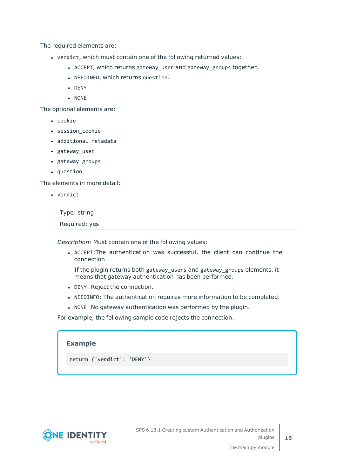The required elements are:

- verdict, which must contain one of the following returned values:
	- ACCEPT, which returns gateway\_user and gateway\_groups together.
	- NEEDINFO, which returns question.
	- $\bullet$  DENY
	- $\bullet$  NONE

The optional elements are:

- cookie
- session cookie
- additional metadata
- gateway\_user
- gateway\_groups
- question

The elements in more detail:

• verdict

Type: string

Required: yes

*Description:* Must contain one of the following values:

<sup>l</sup> ACCEPT:The authentication was successful, the client can continue the connection

If the plugin returns both gateway\_users and gateway\_groups elements, it means that gateway authentication has been performed.

- DENY: Reject the connection.
- . NEEDINFO: The authentication requires more information to be completed.
- NONE: No gateway authentication was performed by the plugin.

For example, the following sample code rejects the connection.

| <b>Example</b>               |  |
|------------------------------|--|
| return { 'verdict': 'DENY' } |  |



**15**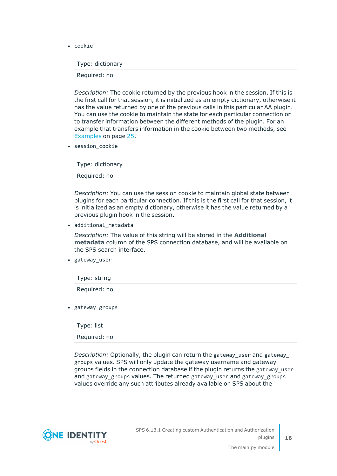• cookie

Type: dictionary

Required: no

*Description:* The cookie returned by the previous hook in the session. If this is the first call for that session, it is initialized as an empty dictionary, otherwise it has the value returned by one of the previous calls in this particular AA plugin. You can use the cookie to maintain the state for each particular connection or to transfer information between the different methods of the plugin. For an example that transfers information in the cookie between two methods, see [Examples](#page-24-0) on page 25.

• session cookie

Type: dictionary

Required: no

*Description:* You can use the session cookie to maintain global state between plugins for each particular connection. If this is the first call for that session, it is initialized as an empty dictionary, otherwise it has the value returned by a previous plugin hook in the session.

• additional metadata

*Description:* The value of this string will be stored in the **Additional metadata** column of the SPS connection database, and will be available on the SPS search interface.

• gateway\_user

Type: string Required: no

• gateway\_groups

Type: list

Required: no

*Description:* Optionally, the plugin can return the gateway\_user and gateway\_ groups values. SPS will only update the gateway username and gateway groups fields in the connection database if the plugin returns the gateway\_user and gateway groups values. The returned gateway user and gateway groups values override any such attributes already available on SPS about the

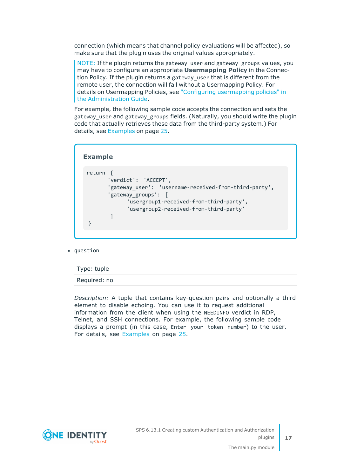connection (which means that channel policy evaluations will be affected), so make sure that the plugin uses the original values appropriately.

NOTE: If the plugin returns the gateway\_user and gateway\_groups values, you may have to configure an appropriate **Usermapping Policy** in the Connection Policy. If the plugin returns a gateway\_user that is different from the remote user, the connection will fail without a Usermapping Policy. For details on Usermapping Policies, see "Configuring [usermapping](https://support.oneidentity.com/technical-documents/safeguard-for-privileged-sessions/6.13.1/administration-guide/advanced-authentication-and-authorization-techniques/configuring-usermapping-policies/) policies" in the [Administration](https://support.oneidentity.com/technical-documents/safeguard-for-privileged-sessions/6.13.1/administration-guide/advanced-authentication-and-authorization-techniques/configuring-usermapping-policies/) Guide.

For example, the following sample code accepts the connection and sets the gateway\_user and gateway\_groups fields. (Naturally, you should write the plugin code that actually retrieves these data from the third-party system.) For details, see [Examples](#page-24-0) on page 25.

| return<br>'verdict': 'ACCEPT',                                                                                                                                  |
|-----------------------------------------------------------------------------------------------------------------------------------------------------------------|
| 'gateway user': 'username-received-from-third-party',<br>'gateway groups':<br>'usergroup1-received-from-third-party',<br>'usergroup2-received-from-third-party' |

• question

Type: tuple

Required: no

*Description:* A tuple that contains key-question pairs and optionally a third element to disable echoing. You can use it to request additional information from the client when using the NEEDINFO verdict in RDP, Telnet, and SSH connections. For example, the following sample code displays a prompt (in this case, Enter your token number) to the user. For details, see [Examples](#page-24-0) on page 25.

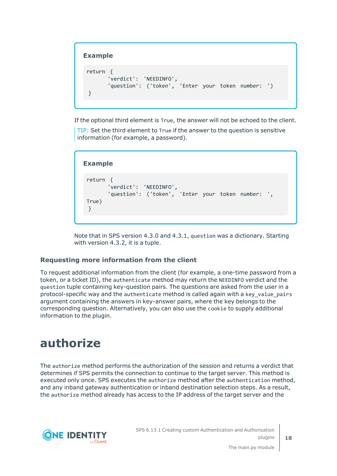### **Example**

```
return {
      'verdict': 'NEEDINFO',
      'question': ('token', 'Enter your token number: ')
}
```
If the optional third element is True, the answer will not be echoed to the client.

TIP: Set the third element to True if the answer to the question is sensitive information (for example, a password).

```
Example
 return {
        'verdict': 'NEEDINFO',
       'question': ('token', 'Enter your token number: ',
True)
 }
```
Note that in SPS version 4.3.0 and 4.3.1, question was a dictionary. Starting with version 4.3.2, it is a tuple.

### **Requesting more information from the client**

To request additional information from the client (for example, a one-time password from a token, or a ticket ID), the authenticate method may return the NEEDINFO verdict and the question tuple containing key-question pairs. The questions are asked from the user in a protocol-specific way and the authenticate method is called again with a key\_value\_pairs argument containing the answers in key-answer pairs, where the key belongs to the corresponding question. Alternatively, you can also use the cookie to supply additional information to the plugin.

### <span id="page-17-0"></span>**authorize**

The authorize method performs the authorization of the session and returns a verdict that determines if SPS permits the connection to continue to the target server. This method is executed only once. SPS executes the authorize method after the authentication method, and any inband gateway authentication or inband destination selection steps. As a result, the authorize method already has access to the IP address of the target server and the

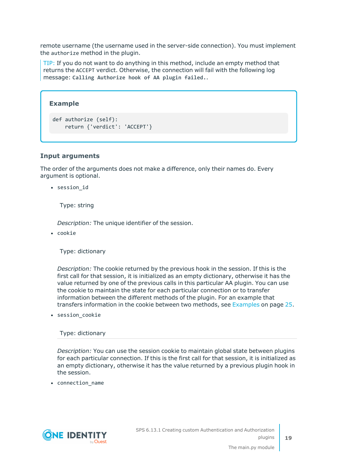remote username (the username used in the server-side connection). You must implement the authorize method in the plugin.

TIP: If you do not want to do anything in this method, include an empty method that returns the ACCEPT verdict. Otherwise, the connection will fail with the following log message: **Calling Authorize hook of AA plugin failed.**.

#### **Example**

```
def authorize (self):
    return {'verdict': 'ACCEPT'}
```
#### **Input arguments**

The order of the arguments does not make a difference, only their names do. Every argument is optional.

• session id

Type: string

*Description:* The unique identifier of the session.

• cookie

Type: dictionary

*Description:* The cookie returned by the previous hook in the session. If this is the first call for that session, it is initialized as an empty dictionary, otherwise it has the value returned by one of the previous calls in this particular AA plugin. You can use the cookie to maintain the state for each particular connection or to transfer information between the different methods of the plugin. For an example that transfers information in the cookie between two methods, see [Examples](#page-24-0) on page 25.

 $\bullet$  session\_cookie

Type: dictionary

*Description:* You can use the session cookie to maintain global state between plugins for each particular connection. If this is the first call for that session, it is initialized as an empty dictionary, otherwise it has the value returned by a previous plugin hook in the session.

• connection\_name

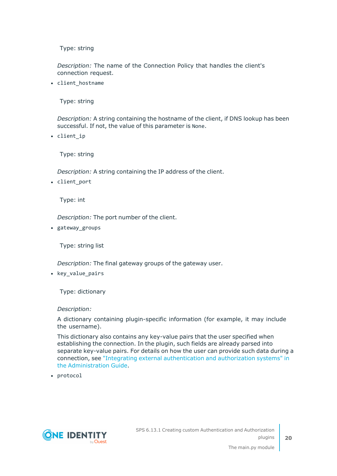*Description:* The name of the Connection Policy that handles the client's connection request.

• client\_hostname

Type: string

*Description:* A string containing the hostname of the client, if DNS lookup has been successful. If not, the value of this parameter is None.

• client ip

Type: string

*Description:* A string containing the IP address of the client.

• client port

Type: int

*Description:* The port number of the client.

• gateway\_groups

Type: string list

*Description:* The final gateway groups of the gateway user.

• key\_value\_pairs

Type: dictionary

#### *Description:*

A dictionary containing plugin-specific information (for example, it may include the username).

This dictionary also contains any key-value pairs that the user specified when establishing the connection. In the plugin, such fields are already parsed into separate key-value pairs. For details on how the user can provide such data during a connection, see "Integrating external [authentication](https://support.oneidentity.com/technical-documents/safeguard-for-privileged-sessions/6.13.1/administration-guide/advanced-authentication-and-authorization-techniques/integrating-external-authentication-and-authorization-systems/) and authorization systems" in the [Administration](https://support.oneidentity.com/technical-documents/safeguard-for-privileged-sessions/6.13.1/administration-guide/advanced-authentication-and-authorization-techniques/integrating-external-authentication-and-authorization-systems/) Guide.

• protocol



SPS 6.13.1 Creating custom Authentication and Authorization plugins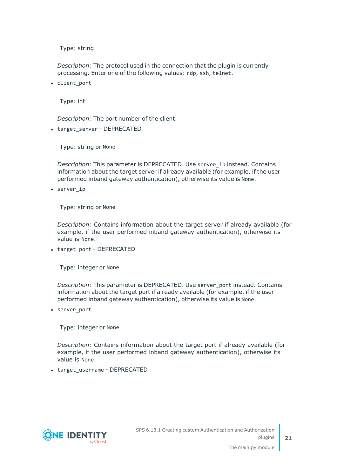*Description:* The protocol used in the connection that the plugin is currently processing. Enter one of the following values: rdp, ssh, telnet.

• client port

Type: int

*Description:* The port number of the client.

• target\_server - DEPRECATED

Type: string or None

*Description:* This parameter is DEPRECATED. Use server\_ip instead. Contains information about the target server if already available (for example, if the user performed inband gateway authentication), otherwise its value is None.

• server ip

Type: string or None

*Description:* Contains information about the target server if already available (for example, if the user performed inband gateway authentication), otherwise its value is None.

• target\_port - DEPRECATED

Type: integer or None

*Description:* This parameter is DEPRECATED. Use server\_port instead. Contains information about the target port if already available (for example, if the user performed inband gateway authentication), otherwise its value is None.

• server\_port

Type: integer or None

*Description:* Contains information about the target port if already available (for example, if the user performed inband gateway authentication), otherwise its value is None.

• target username - DEPRECATED

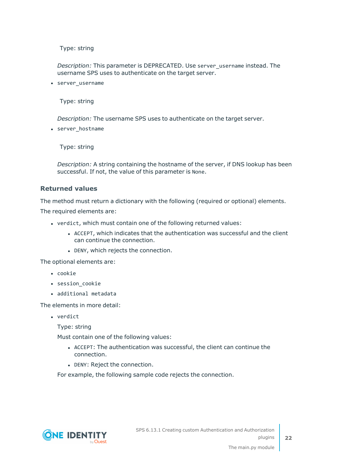*Description:* This parameter is DEPRECATED. Use server\_username instead. The username SPS uses to authenticate on the target server.

• server username

Type: string

*Description:* The username SPS uses to authenticate on the target server.

• server hostname

Type: string

*Description:* A string containing the hostname of the server, if DNS lookup has been successful. If not, the value of this parameter is None.

#### **Returned values**

The method must return a dictionary with the following (required or optional) elements.

The required elements are:

- verdict, which must contain one of the following returned values:
	- ACCEPT, which indicates that the authentication was successful and the client can continue the connection.
	- DENY, which rejects the connection.

The optional elements are:

- cookie
- session cookie
- additional metadata

The elements in more detail:

• verdict

Type: string

Must contain one of the following values:

- ACCEPT: The authentication was successful, the client can continue the connection.
- DENY: Reject the connection.

For example, the following sample code rejects the connection.

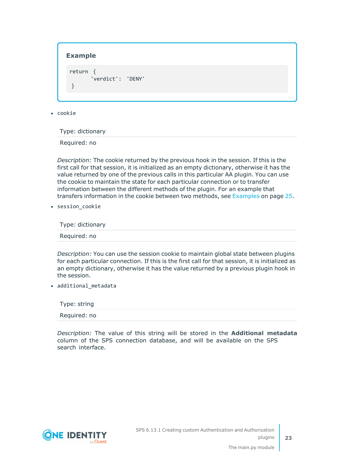#### **Example**

return { 'verdict': 'DENY' }

 $\cdot$  cookie

Type: dictionary

Required: no

*Description:* The cookie returned by the previous hook in the session. If this is the first call for that session, it is initialized as an empty dictionary, otherwise it has the value returned by one of the previous calls in this particular AA plugin. You can use the cookie to maintain the state for each particular connection or to transfer information between the different methods of the plugin. For an example that transfers information in the cookie between two methods, see [Examples](#page-24-0) on page 25.

• session cookie

Type: dictionary

Required: no

*Description:* You can use the session cookie to maintain global state between plugins for each particular connection. If this is the first call for that session, it is initialized as an empty dictionary, otherwise it has the value returned by a previous plugin hook in the session.

• additional\_metadata

Type: string Required: no

*Description:* The value of this string will be stored in the **Additional metadata** column of the SPS connection database, and will be available on the SPS search interface.

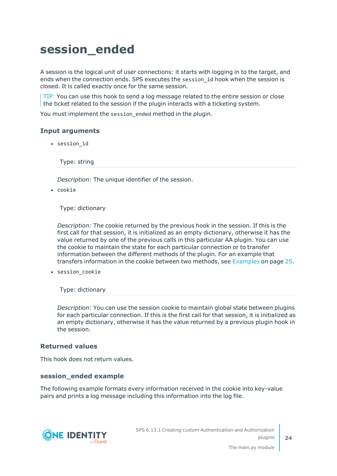### <span id="page-23-0"></span>**session\_ended**

A session is the logical unit of user connections: it starts with logging in to the target, and ends when the connection ends. SPS executes the session\_id hook when the session is closed. It is called exactly once for the same session.

TIP: You can use this hook to send a log message related to the entire session or close the ticket related to the session if the plugin interacts with a ticketing system.

You must implement the session\_ended method in the plugin.

#### **Input arguments**

• session id

Type: string

*Description:* The unique identifier of the session.

 $\cdot$  cookie

Type: dictionary

*Description:* The cookie returned by the previous hook in the session. If this is the first call for that session, it is initialized as an empty dictionary, otherwise it has the value returned by one of the previous calls in this particular AA plugin. You can use the cookie to maintain the state for each particular connection or to transfer information between the different methods of the plugin. For an example that transfers information in the cookie between two methods, see [Examples](#page-24-0) on page 25.

• session\_cookie

Type: dictionary

*Description:* You can use the session cookie to maintain global state between plugins for each particular connection. If this is the first call for that session, it is initialized as an empty dictionary, otherwise it has the value returned by a previous plugin hook in the session.

#### **Returned values**

This hook does not return values.

#### **session\_ended example**

The following example formats every information received in the cookie into key-value pairs and prints a log message including this information into the log file.

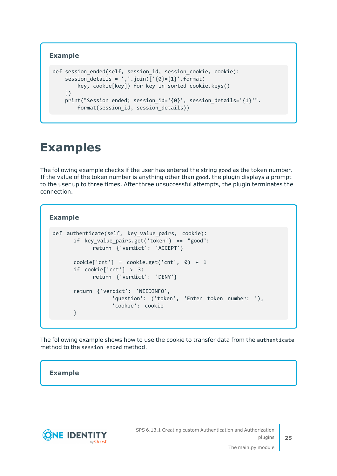### **Example**

```
def session ended(self, session id, session cookie, cookie):
    session details = ','.join(['{}0]={1}':format(key, cookie[key]) for key in sorted cookie.keys()
    ])
    print("Session ended; session_id='{0}', session_details='{1}'".
        format(session id, session details))
```
### <span id="page-24-0"></span>**Examples**

The following example checks if the user has entered the string good as the token number. If the value of the token number is anything other than good, the plugin displays a prompt to the user up to three times. After three unsuccessful attempts, the plugin terminates the connection.

#### **Example**

```
def authenticate(self, key_value_pairs, cookie):
      if key_value_pairs.get('token') == "good":
            return {'verdict': 'ACCEPT'}
      cookie['cnt'] = cookie.get('cnt', 0) + 1
      if cookie['cnt'] > 3:
            return {'verdict': 'DENY'}
      return {'verdict': 'NEEDINFO',
                  'question': ('token', 'Enter token number: '),
                  'cookie': cookie
      }
```
The following example shows how to use the cookie to transfer data from the authenticate method to the session\_ended method.

#### **Example**



SPS 6.13.1 Creating custom Authentication and Authorization plugins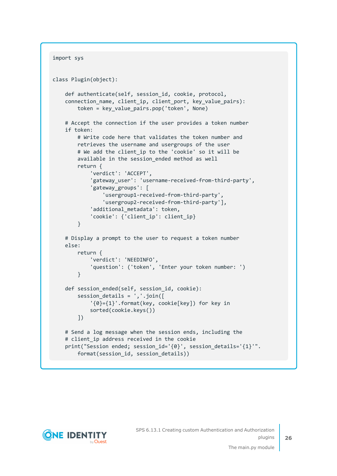```
import sys
class Plugin(object):
    def authenticate(self, session_id, cookie, protocol,
    connection name, client ip, client port, key value pairs):
       token = key value pairs.pop('token', None)
   # Accept the connection if the user provides a token number
    if token:
        # Write code here that validates the token number and
        retrieves the username and usergroups of the user
        # We add the client_ip to the 'cookie' so it will be
        available in the session ended method as well
        return {
            'verdict': 'ACCEPT',
            'gateway user': 'username-received-from-third-party',
            'gateway_groups': [
                'usergroup1-received-from-third-party',
                'usergroup2-received-from-third-party'],
            'additional metadata': token,
            'cookie': {'client ip': client ip}
        }
    # Display a prompt to the user to request a token number
    else:
        return {
            'verdict': 'NEEDINFO',
            'question': ('token', 'Enter your token number: ')
        }
    def session_ended(self, session_id, cookie):
        session_details = ','.join([
            '{0}={1}'.format(key, cookie[key]) for key in
            sorted(cookie.keys())
        ])
    # Send a log message when the session ends, including the
    # client ip address received in the cookie
    print("Session ended; session_id='{0}', session_details='{1}'".
        format(session_id, session_details))
```
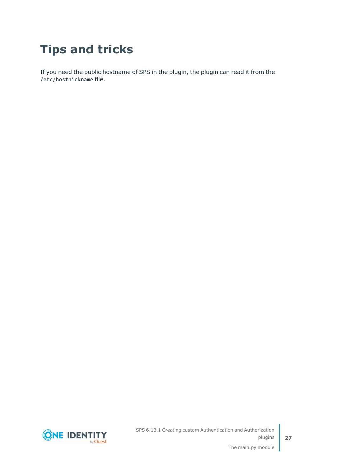## <span id="page-26-0"></span>**Tips and tricks**

If you need the public hostname of SPS in the plugin, the plugin can read it from the /etc/hostnickname file.



SPS 6.13.1 Creating custom Authentication and Authorization plugins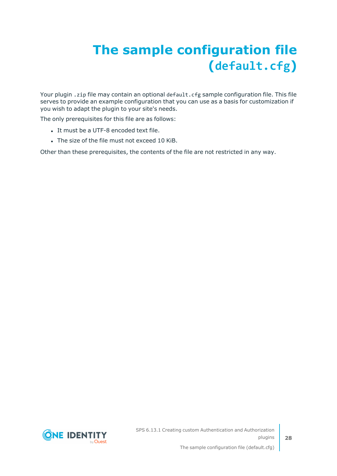# <span id="page-27-0"></span>**The sample configuration file (default.cfg)**

Your plugin . zip file may contain an optional default. cfg sample configuration file. This file serves to provide an example configuration that you can use as a basis for customization if you wish to adapt the plugin to your site's needs.

The only prerequisites for this file are as follows:

- It must be a UTF-8 encoded text file.
- The size of the file must not exceed 10 KiB.

Other than these prerequisites, the contents of the file are not restricted in any way.

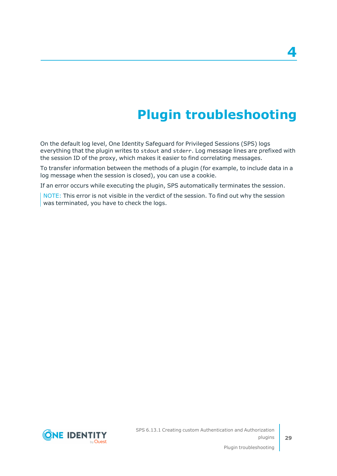# **Plugin troubleshooting**

<span id="page-28-0"></span>On the default log level, One Identity Safeguard for Privileged Sessions (SPS) logs everything that the plugin writes to stdout and stderr. Log message lines are prefixed with the session ID of the proxy, which makes it easier to find correlating messages.

To transfer information between the methods of a plugin (for example, to include data in a log message when the session is closed), you can use a cookie.

If an error occurs while executing the plugin, SPS automatically terminates the session.

NOTE: This error is not visible in the verdict of the session. To find out why the session was terminated, you have to check the logs.

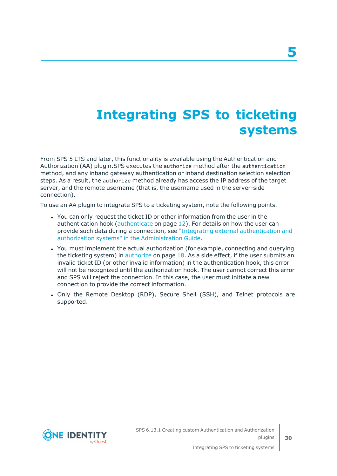## <span id="page-29-0"></span>**Integrating SPS to ticketing systems**

From SPS 5 LTS and later, this functionality is available using the Authentication and Authorization (AA) plugin.SPS executes the authorize method after the authentication method, and any inband gateway authentication or inband destination selection selection steps. As a result, the authorize method already has access the IP address of the target server, and the remote username (that is, the username used in the server-side connection).

To use an AA plugin to integrate SPS to a ticketing system, note the following points.

- You can only request the ticket ID or other information from the user in the authentication hook ([authenticate](#page-11-0) on page 12). For details on how the user can provide such data during a connection, see "Integrating external [authentication](https://support.oneidentity.com/technical-documents/safeguard-for-privileged-sessions/6.13.1/administration-guide/advanced-authentication-and-authorization-techniques/integrating-external-authentication-and-authorization-systems/) and authorization systems" in the [Administration](https://support.oneidentity.com/technical-documents/safeguard-for-privileged-sessions/6.13.1/administration-guide/advanced-authentication-and-authorization-techniques/integrating-external-authentication-and-authorization-systems/) Guide.
- You must implement the actual authorization (for example, connecting and querying the ticketing system) in [authorize](#page-17-0) on page 18. As a side effect, if the user submits an invalid ticket ID (or other invalid information) in the authentication hook, this error will not be recognized until the authorization hook. The user cannot correct this error and SPS will reject the connection. In this case, the user must initiate a new connection to provide the correct information.
- Only the Remote Desktop (RDP), Secure Shell (SSH), and Telnet protocols are supported.

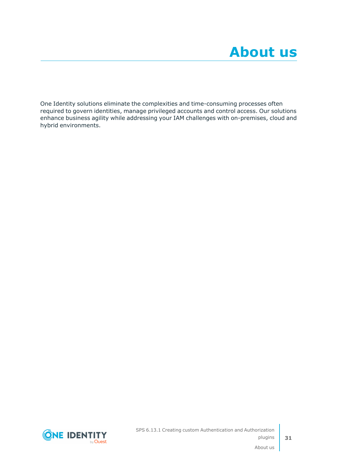<span id="page-30-0"></span>One Identity solutions eliminate the complexities and time-consuming processes often required to govern identities, manage privileged accounts and control access. Our solutions enhance business agility while addressing your IAM challenges with on-premises, cloud and hybrid environments.

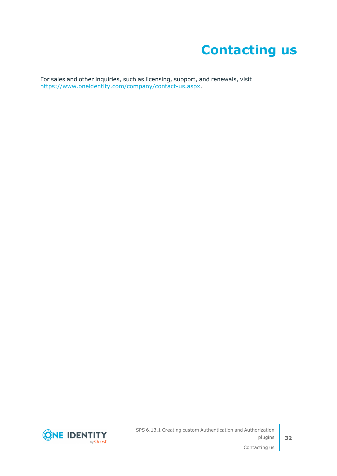## **Contacting us**

<span id="page-31-0"></span>For sales and other inquiries, such as licensing, support, and renewals, visit [https://www.oneidentity.com/company/contact-us.aspx.](https://www.oneidentity.com/company/contact-us.aspx)

**ONE IDENTITY** by **Quest**  SPS 6.13.1 Creating custom Authentication and Authorization plugins

Contacting us